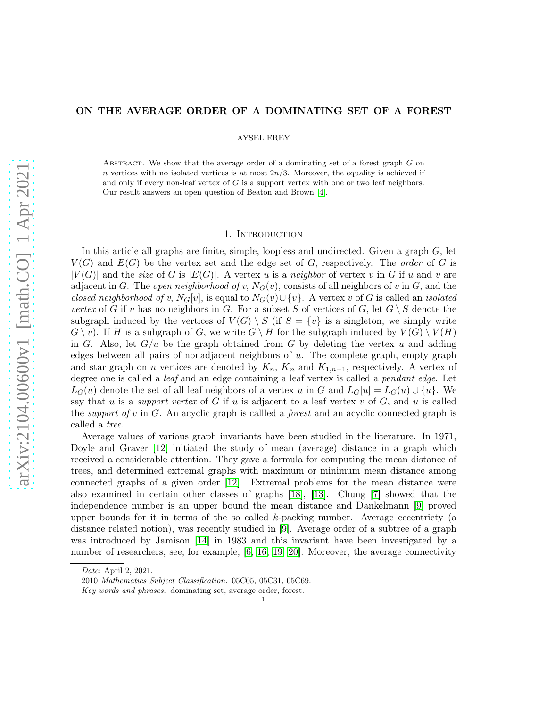### ON THE AVERAGE ORDER OF A DOMINATING SET OF A FOREST

AYSEL EREY

ABSTRACT. We show that the average order of a dominating set of a forest graph  $G$  on n vertices with no isolated vertices is at most  $2n/3$ . Moreover, the equality is achieved if and only if every non-leaf vertex of  $G$  is a support vertex with one or two leaf neighbors. Our result answers an open question of Beaton and Brown [\[4\]](#page-8-0).

## 1. INTRODUCTION

In this article all graphs are finite, simple, loopless and undirected. Given a graph  $G$ , let  $V(G)$  and  $E(G)$  be the vertex set and the edge set of G, respectively. The *order* of G is  $|V(G)|$  and the *size* of G is  $|E(G)|$ . A vertex u is a *neighbor* of vertex v in G if u and v are adjacent in G. The *open neighborhood of v*,  $N_G(v)$ , consists of all neighbors of v in G, and the *closed neighborhood of v*,  $N_G[v]$ , is equal to  $N_G(v) \cup \{v\}$ . A vertex v of G is called an *isolated vertex* of G if v has no neighbors in G. For a subset S of vertices of G, let  $G \setminus S$  denote the subgraph induced by the vertices of  $V(G) \setminus S$  (if  $S = \{v\}$  is a singleton, we simply write  $G \setminus v$ . If H is a subgraph of G, we write  $G \setminus H$  for the subgraph induced by  $V(G) \setminus V(H)$ in G. Also, let  $G/u$  be the graph obtained from G by deleting the vertex u and adding edges between all pairs of nonadjacent neighbors of  $u$ . The complete graph, empty graph and star graph on *n* vertices are denoted by  $K_n$ ,  $\overline{K}_n$  and  $K_{1,n-1}$ , respectively. A vertex of degree one is called a *leaf* and an edge containing a leaf vertex is called a *pendant edge*. Let  $L_G(u)$  denote the set of all leaf neighbors of a vertex u in G and  $L_G[u] = L_G(u) \cup \{u\}$ . We say that  $u$  is a *support vertex* of  $G$  if  $u$  is adjacent to a leaf vertex  $v$  of  $G$ , and  $u$  is called the *support of* v in G. An acyclic graph is callled a *forest* and an acyclic connected graph is called a *tree*.

Average values of various graph invariants have been studied in the literature. In 1971, Doyle and Graver [\[12\]](#page-8-1) initiated the study of mean (average) distance in a graph which received a considerable attention. They gave a formula for computing the mean distance of trees, and determined extremal graphs with maximum or minimum mean distance among connected graphs of a given order [\[12\]](#page-8-1). Extremal problems for the mean distance were also examined in certain other classes of graphs [\[18\]](#page-8-2), [\[13\]](#page-8-3). Chung [\[7\]](#page-8-4) showed that the independence number is an upper bound the mean distance and Dankelmann [\[9\]](#page-8-5) proved upper bounds for it in terms of the so called  $k$ -packing number. Average eccentricty (a distance related notion), was recently studied in [\[9\]](#page-8-5). Average order of a subtree of a graph was introduced by Jamison [\[14\]](#page-8-6) in 1983 and this invariant have been investigated by a number of researchers, see, for example, [\[6,](#page-8-7) [16,](#page-8-8) [19,](#page-8-9) [20\]](#page-8-10). Moreover, the average connectivity

Date: April 2, 2021.

<sup>2010</sup> Mathematics Subject Classification. 05C05, 05C31, 05C69.

Key words and phrases. dominating set, average order, forest.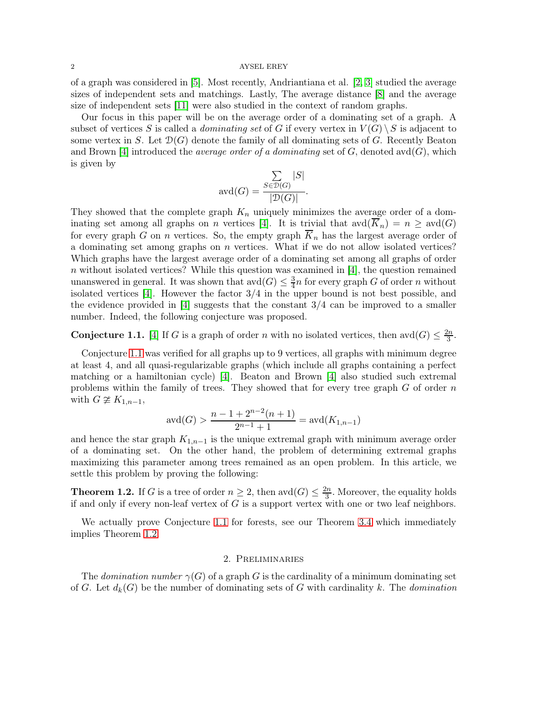of a graph was considered in [\[5\]](#page-8-11). Most recently, Andriantiana et al. [\[2,](#page-8-12) [3\]](#page-8-13) studied the average sizes of independent sets and matchings. Lastly, The average distance [\[8\]](#page-8-14) and the average size of independent sets [\[11\]](#page-8-15) were also studied in the context of random graphs.

Our focus in this paper will be on the average order of a dominating set of a graph. A subset of vertices S is called a *dominating set* of G if every vertex in  $V(G) \setminus S$  is adjacent to some vertex in S. Let  $\mathcal{D}(G)$  denote the family of all dominating sets of G. Recently Beaton and Brown [\[4\]](#page-8-0) introduced the *average order of a dominating* set of  $G$ , denoted avd $(G)$ , which is given by

$$
\text{avd}(G) = \frac{\sum_{S \in \mathcal{D}(G)} |S|}{|\mathcal{D}(G)|}.
$$

They showed that the complete graph  $K_n$  uniquely minimizes the average order of a dom-inating set among all graphs on n vertices [\[4\]](#page-8-0). It is trivial that  $\mathrm{avd}(K_n) = n \geq \mathrm{avd}(G)$ for every graph G on n vertices. So, the empty graph  $\overline{K}_n$  has the largest average order of a dominating set among graphs on  $n$  vertices. What if we do not allow isolated vertices? Which graphs have the largest average order of a dominating set among all graphs of order n without isolated vertices? While this question was examined in  $[4]$ , the question remained unanswered in general. It was shown that  $\mathrm{avd}(G) \leq \frac{3}{4}$  $\frac{3}{4}n$  for every graph G of order n without isolated vertices [\[4\]](#page-8-0). However the factor 3/4 in the upper bound is not best possible, and the evidence provided in  $[4]$  suggests that the constant  $3/4$  can be improved to a smaller number. Indeed, the following conjecture was proposed.

<span id="page-1-0"></span>**Conjecture 1.1.** [\[4\]](#page-8-0) If G is a graph of order n with no isolated vertices, then avd $(G) \leq \frac{2n}{3}$  $\frac{\frac{2n}{3}}{3}$ .

Conjecture [1.1](#page-1-0) was verified for all graphs up to 9 vertices, all graphs with minimum degree at least 4, and all quasi-regularizable graphs (which include all graphs containing a perfect matching or a hamiltonian cycle) [\[4\]](#page-8-0). Beaton and Brown [\[4\]](#page-8-0) also studied such extremal problems within the family of trees. They showed that for every tree graph  $G$  of order  $n$ with  $G \not\cong K_{1,n-1}$ ,

$$
avd(G) > \frac{n-1+2^{n-2}(n+1)}{2^{n-1}+1} = avd(K_{1,n-1})
$$

and hence the star graph  $K_{1,n-1}$  is the unique extremal graph with minimum average order of a dominating set. On the other hand, the problem of determining extremal graphs maximizing this parameter among trees remained as an open problem. In this article, we settle this problem by proving the following:

<span id="page-1-1"></span>**Theorem 1.2.** If G is a tree of order  $n \geq 2$ , then  $\text{avd}(G) \leq \frac{2n}{3}$ . Moreover, the equality holds if and only if every non-leaf vertex of  $G$  is a support vertex with one or two leaf neighbors.

We actually prove Conjecture [1.1](#page-1-0) for forests, see our Theorem [3.4](#page-6-0) which immediately implies Theorem [1.2.](#page-1-1)

## 2. Preliminaries

The *domination number*  $\gamma(G)$  of a graph G is the cardinality of a minimum dominating set of G. Let  $d_k(G)$  be the number of dominating sets of G with cardinality k. The *domination*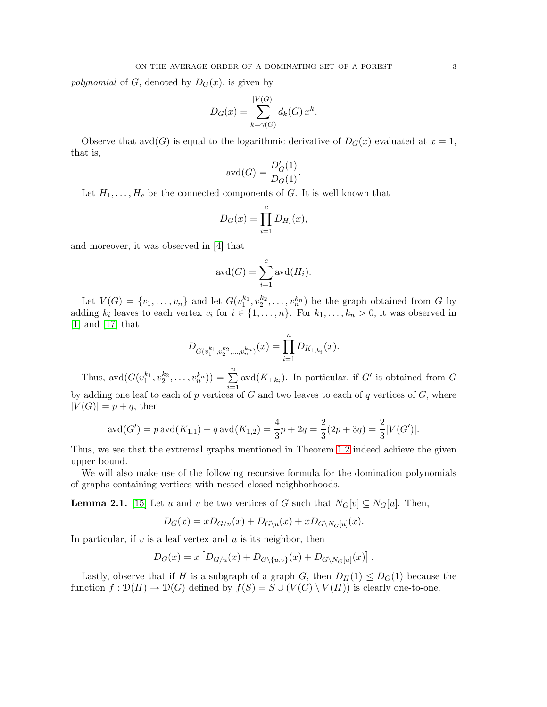*polynomial* of G, denoted by  $D_G(x)$ , is given by

$$
D_G(x) = \sum_{k=\gamma(G)}^{|V(G)|} d_k(G) x^k.
$$

Observe that  $\text{avd}(G)$  is equal to the logarithmic derivative of  $D_G(x)$  evaluated at  $x = 1$ , that is,

$$
\operatorname{avd}(G) = \frac{D'_G(1)}{D_G(1)}.
$$

Let  $H_1, \ldots, H_c$  be the connected components of G. It is well known that

$$
D_G(x) = \prod_{i=1}^c D_{H_i}(x),
$$

and moreover, it was observed in [\[4\]](#page-8-0) that

$$
\operatorname{avd}(G) = \sum_{i=1}^{c} \operatorname{avd}(H_i).
$$

Let  $V(G) = \{v_1, \ldots, v_n\}$  and let  $G(v_1^{k_1}, v_2^{k_2}, \ldots, v_n^{k_n})$  be the graph obtained from G by adding  $k_i$  leaves to each vertex  $v_i$  for  $i \in \{1, \ldots, n\}$ . For  $k_1, \ldots, k_n > 0$ , it was observed in [\[1\]](#page-8-16) and [\[17\]](#page-8-17) that

$$
D_{G(v_1^{k_1}, v_2^{k_2}, \dots, v_n^{k_n})}(x) = \prod_{i=1}^n D_{K_{1,k_i}}(x).
$$

Thus,  $\text{avd}(G(v_1^{k_1}, v_2^{k_2}, \dots, v_n^{k_n})) = \sum_{n=1}^{\infty}$  $\sum_{i=1}$  avd $(K_{1,k_i})$ . In particular, if G' is obtained from G by adding one leaf to each of p vertices of  $G$  and two leaves to each of  $q$  vertices of  $G$ , where  $|V(G)| = p + q$ , then

$$
\operatorname{avd}(G') = p \operatorname{avd}(K_{1,1}) + q \operatorname{avd}(K_{1,2}) = \frac{4}{3}p + 2q = \frac{2}{3}(2p + 3q) = \frac{2}{3}|V(G')|.
$$

Thus, we see that the extremal graphs mentioned in Theorem [1.2](#page-1-1) indeed achieve the given upper bound.

We will also make use of the following recursive formula for the domination polynomials of graphs containing vertices with nested closed neighborhoods.

<span id="page-2-0"></span>**Lemma 2.1.** [\[15\]](#page-8-18) Let u and v be two vertices of G such that  $N_G[v] \subseteq N_G[u]$ . Then,

$$
D_G(x) = x D_{G/u}(x) + D_{G\setminus u}(x) + x D_{G\setminus N_G[u]}(x).
$$

In particular, if  $v$  is a leaf vertex and  $u$  is its neighbor, then

$$
D_G(x) = x \left[ D_{G/u}(x) + D_{G \setminus \{u, v\}}(x) + D_{G \setminus N_G[u]}(x) \right].
$$

Lastly, observe that if H is a subgraph of a graph G, then  $D_H(1) \leq D_G(1)$  because the function  $f: \mathcal{D}(H) \to \mathcal{D}(G)$  defined by  $f(S) = S \cup (V(G) \setminus V(H))$  is clearly one-to-one.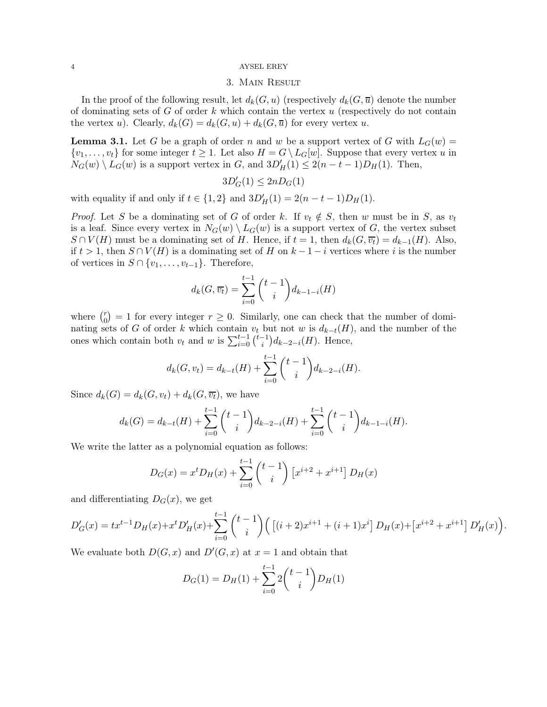# 3. Main Result

In the proof of the following result, let  $d_k(G, u)$  (respectively  $d_k(G, \bar{u})$  denote the number of dominating sets of  $G$  of order  $k$  which contain the vertex  $u$  (respectively do not contain the vertex u). Clearly,  $d_k(G) = d_k(G, u) + d_k(G, \overline{u})$  for every vertex u.

<span id="page-3-0"></span>**Lemma 3.1.** Let G be a graph of order n and w be a support vertex of G with  $L_G(w)$  =  $\{v_1, \ldots, v_t\}$  for some integer  $t \geq 1$ . Let also  $H = G \setminus L_G[w]$ . Suppose that every vertex u in  $N_G(w) \setminus L_G(w)$  is a support vertex in G, and  $3D'_H(1) \leq 2(n-t-1)D_H(1)$ . Then,

$$
3D'_G(1)\leq 2nD_G(1)
$$

with equality if and only if  $t \in \{1, 2\}$  and  $3D'_H(1) = 2(n - t - 1)D_H(1)$ .

*Proof.* Let S be a dominating set of G of order k. If  $v_t \notin S$ , then w must be in S, as  $v_t$ is a leaf. Since every vertex in  $N_G(w) \setminus L_G(w)$  is a support vertex of G, the vertex subset  $S \cap V(H)$  must be a dominating set of H. Hence, if  $t = 1$ , then  $d_k(G, \overline{v_t}) = d_{k-1}(H)$ . Also, if  $t > 1$ , then  $S \cap V(H)$  is a dominating set of H on  $k - 1 - i$  vertices where i is the number of vertices in  $S \cap \{v_1, \ldots, v_{t-1}\}.$  Therefore,

$$
d_k(G, \overline{v_t}) = \sum_{i=0}^{t-1} {t-1 \choose i} d_{k-1-i}(H)
$$

where  $\binom{r}{0}$  $\binom{r}{0} = 1$  for every integer  $r \geq 0$ . Similarly, one can check that the number of dominating sets of G of order k which contain  $v_t$  but not w is  $d_{k-t}(H)$ , and the number of the ones which contain both  $v_t$  and w is  $\sum_{i=0}^{t-1} {t-1 \choose i}$  $\binom{-1}{i} d_{k-2-i}(H)$ . Hence,

$$
d_k(G, v_t) = d_{k-t}(H) + \sum_{i=0}^{t-1} {t-1 \choose i} d_{k-2-i}(H).
$$

Since  $d_k(G) = d_k(G, v_t) + d_k(G, \overline{v_t})$ , we have

$$
d_k(G) = d_{k-t}(H) + \sum_{i=0}^{t-1} {t-1 \choose i} d_{k-2-i}(H) + \sum_{i=0}^{t-1} {t-1 \choose i} d_{k-1-i}(H).
$$

We write the latter as a polynomial equation as follows:

$$
D_G(x) = x^t D_H(x) + \sum_{i=0}^{t-1} {t-1 \choose i} [x^{i+2} + x^{i+1}] D_H(x)
$$

and differentiating  $D_G(x)$ , we get

$$
D'_G(x) = tx^{t-1}D_H(x) + x^t D'_H(x) + \sum_{i=0}^{t-1} {t-1 \choose i} \left( \left[ (i+2)x^{i+1} + (i+1)x^i \right] D_H(x) + \left[ x^{i+2} + x^{i+1} \right] D'_H(x) \right)
$$

.

We evaluate both  $D(G, x)$  and  $D'(G, x)$  at  $x = 1$  and obtain that

$$
D_G(1) = D_H(1) + \sum_{i=0}^{t-1} 2\binom{t-1}{i} D_H(1)
$$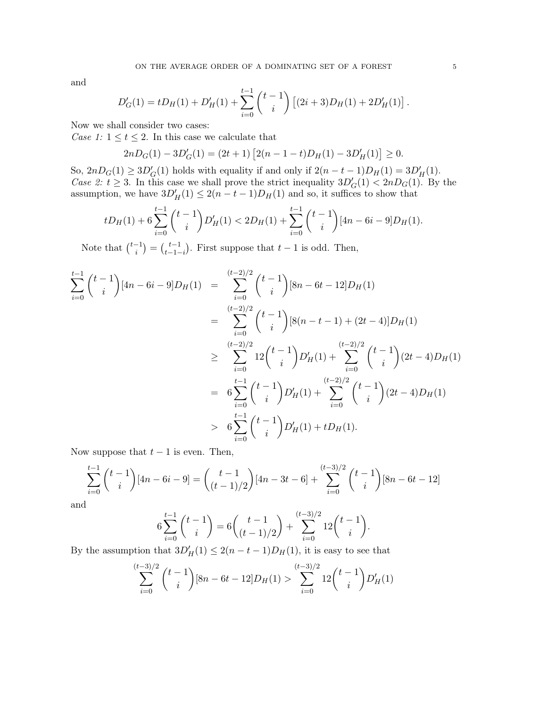and

$$
D'_G(1) = tD_H(1) + D'_H(1) + \sum_{i=0}^{t-1} {t-1 \choose i} [(2i+3)D_H(1) + 2D'_H(1)].
$$

Now we shall consider two cases:

*Case 1:*  $1 \le t \le 2$ . In this case we calculate that

$$
2nD_G(1) - 3D'_G(1) = (2t+1)\left[2(n-1-t)D_H(1) - 3D'_H(1)\right] \ge 0.
$$

So,  $2nD_G(1) \ge 3D'_G(1)$  holds with equality if and only if  $2(n-t-1)D_H(1) = 3D'_H(1)$ . *Case 2:*  $t \geq 3$ . In this case we shall prove the strict inequality  $3D'_{G}(1) < 2nD_{G}(1)$ . By the assumption, we have  $3D'_H(1) \leq 2(n-t-1)D_H(1)$  and so, it suffices to show that

$$
tD_H(1) + 6\sum_{i=0}^{t-1} {t-1 \choose i} D'_H(1) < 2D_H(1) + \sum_{i=0}^{t-1} {t-1 \choose i} [4n - 6i - 9] D_H(1).
$$

Note that  $\binom{t-1}{i}$  $\binom{-1}{i} = \binom{t-1}{t-1-1}$  $_{t-1-i}^{t-1}$ ). First suppose that  $t-1$  is odd. Then,

$$
\sum_{i=0}^{t-1} {t-1 \choose i} [4n - 6i - 9]D_H(1) = \sum_{i=0}^{(t-2)/2} {t-1 \choose i} [8n - 6t - 12]D_H(1)
$$
  
\n
$$
= \sum_{i=0}^{(t-2)/2} {t-1 \choose i} [8(n - t - 1) + (2t - 4)]D_H(1)
$$
  
\n
$$
\geq \sum_{i=0}^{(t-2)/2} 12 {t-1 \choose i} D'_H(1) + \sum_{i=0}^{(t-2)/2} {t-1 \choose i} (2t - 4)D_H(1)
$$
  
\n
$$
= 6 \sum_{i=0}^{t-1} {t-1 \choose i} D'_H(1) + \sum_{i=0}^{(t-2)/2} {t-1 \choose i} (2t - 4)D_H(1)
$$
  
\n
$$
> 6 \sum_{i=0}^{t-1} {t-1 \choose i} D'_H(1) + tD_H(1).
$$

Now suppose that  $t-1$  is even. Then,

$$
\sum_{i=0}^{t-1} {t-1 \choose i} [4n - 6i - 9] = {t-1 \choose (t-1)/2} [4n - 3t - 6] + \sum_{i=0}^{(t-3)/2} {t-1 \choose i} [8n - 6t - 12]
$$

and

$$
6\sum_{i=0}^{t-1} {t-1 \choose i} = 6 {t-1 \choose (t-1)/2} + \sum_{i=0}^{(t-3)/2} 12 {t-1 \choose i}.
$$

By the assumption that  $3D'_H(1) \leq 2(n-t-1)D_H(1)$ , it is easy to see that

$$
\sum_{i=0}^{(t-3)/2} \binom{t-1}{i} [8n - 6t - 12] D_H(1) > \sum_{i=0}^{(t-3)/2} 12 \binom{t-1}{i} D'_H(1)
$$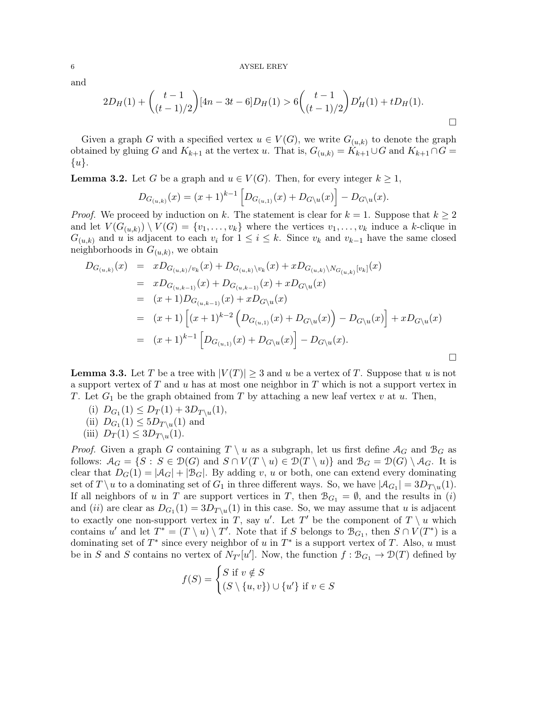and

$$
2D_H(1) + {t-1 \choose (t-1)/2} [4n-3t-6]D_H(1) > 6 {t-1 \choose (t-1)/2} D'_H(1) + tD_H(1).
$$

Given a graph G with a specified vertex  $u \in V(G)$ , we write  $G_{(u,k)}$  to denote the graph obtained by gluing G and  $K_{k+1}$  at the vertex u. That is,  $G_{(u,k)} = K_{k+1} \cup G$  and  $K_{k+1} \cap G =$  $\{u\}.$ 

<span id="page-5-0"></span>**Lemma 3.2.** Let G be a graph and  $u \in V(G)$ . Then, for every integer  $k \geq 1$ ,

$$
D_{G_{(u,k)}}(x) = (x+1)^{k-1} \left[ D_{G_{(u,1)}}(x) + D_{G\setminus u}(x) \right] - D_{G\setminus u}(x).
$$

*Proof.* We proceed by induction on k. The statement is clear for  $k = 1$ . Suppose that  $k \geq 2$ and let  $V(G_{(u,k)}) \setminus V(G) = \{v_1, \ldots, v_k\}$  where the vertices  $v_1, \ldots, v_k$  induce a k-clique in  $G_{(u,k)}$  and u is adjacent to each  $v_i$  for  $1 \leq i \leq k$ . Since  $v_k$  and  $v_{k-1}$  have the same closed neighborhoods in  $G_{(u,k)}$ , we obtain

$$
D_{G_{(u,k)}}(x) = xD_{G_{(u,k)}/v_k}(x) + D_{G_{(u,k)}\backslash v_k}(x) + xD_{G_{(u,k)}\backslash N_{G_{(u,k)}}[v_k]}(x)
$$
  
\n
$$
= xD_{G_{(u,k-1)}}(x) + D_{G_{(u,k-1)}}(x) + xD_{G\backslash u}(x)
$$
  
\n
$$
= (x+1)D_{G_{(u,k-1)}}(x) + xD_{G\backslash u}(x)
$$
  
\n
$$
= (x+1)\left[ (x+1)^{k-2} \left( D_{G_{(u,1)}}(x) + D_{G\backslash u}(x) \right) - D_{G\backslash u}(x) \right] + xD_{G\backslash u}(x)
$$
  
\n
$$
= (x+1)^{k-1} \left[ D_{G_{(u,1)}}(x) + D_{G\backslash u}(x) \right] - D_{G\backslash u}(x).
$$

<span id="page-5-1"></span>**Lemma 3.3.** Let T be a tree with  $|V(T)| \geq 3$  and u be a vertex of T. Suppose that u is not a support vertex of  $T$  and  $u$  has at most one neighbor in  $T$  which is not a support vertex in T. Let  $G_1$  be the graph obtained from T by attaching a new leaf vertex v at u. Then,

- (i)  $D_{G_1}(1) \leq D_T(1) + 3D_{T\setminus u}(1),$
- (ii)  $D_{G_1}(1) \leq 5D_{T\setminus u}(1)$  and
- (iii)  $D_T(1) \leq 3D_{T\setminus u}(1)$ .

*Proof.* Given a graph G containing  $T \setminus u$  as a subgraph, let us first define  $A_G$  and  $B_G$  as follows:  $\mathcal{A}_G = \{S : S \in \mathcal{D}(G) \text{ and } S \cap V(T \setminus u) \in \mathcal{D}(T \setminus u)\}\$ and  $\mathcal{B}_G = \mathcal{D}(G) \setminus \mathcal{A}_G$ . It is clear that  $D_G(1) = |A_G| + |B_G|$ . By adding v, u or both, one can extend every dominating set of  $T \setminus u$  to a dominating set of  $G_1$  in three different ways. So, we have  $|\mathcal{A}_{G_1}| = 3D_{T\setminus u}(1)$ . If all neighbors of u in T are support vertices in T, then  $\mathcal{B}_{G_1} = \emptyset$ , and the results in (i) and (*ii*) are clear as  $D_{G_1}(1) = 3D_{T\setminus u}(1)$  in this case. So, we may assume that u is adjacent to exactly one non-support vertex in T, say u'. Let T' be the component of  $T \setminus u$  which contains u' and let  $T^* = (T \setminus u) \setminus T'$ . Note that if S belongs to  $\mathcal{B}_{G_1}$ , then  $S \cap V(T^*)$  is a dominating set of  $T^*$  since every neighbor of u in  $T^*$  is a support vertex of T. Also, u must be in S and S contains no vertex of  $N_{T'}[u']$ . Now, the function  $f : \mathcal{B}_{G_1} \to \mathcal{D}(T)$  defined by

$$
f(S) = \begin{cases} S \text{ if } v \notin S \\ (S \setminus \{u, v\}) \cup \{u'\} \text{ if } v \in S \end{cases}
$$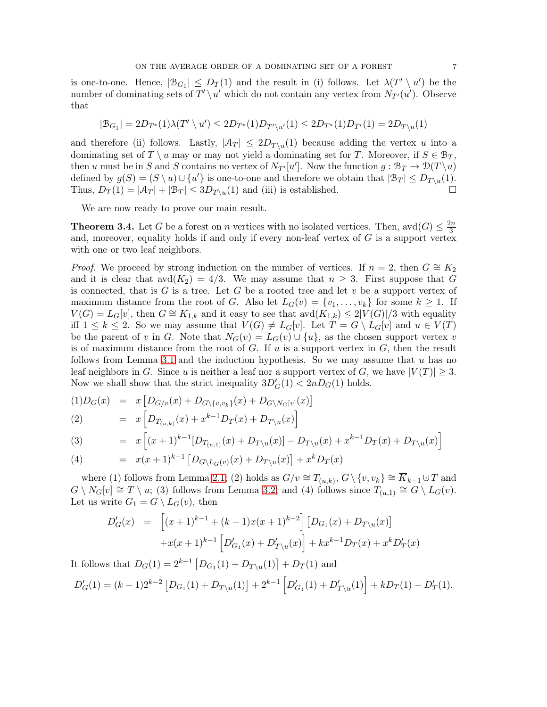is one-to-one. Hence,  $|\mathcal{B}_{G_1}| \leq D_T(1)$  and the result in (i) follows. Let  $\lambda(T' \setminus u')$  be the number of dominating sets of  $T' \setminus u'$  which do not contain any vertex from  $N_{T'}(u')$ . Observe that

$$
|\mathcal{B}_{G_1}| = 2D_{T^*}(1)\lambda(T' \setminus u') \leq 2D_{T^*}(1)D_{T' \setminus u'}(1) \leq 2D_{T^*}(1)D_{T'}(1) = 2D_{T \setminus u}(1)
$$

and therefore (ii) follows. Lastly,  $|\mathcal{A}_T| \leq 2D_{T\setminus u}(1)$  because adding the vertex u into a dominating set of  $T \setminus u$  may or may not yield a dominating set for T. Moreover, if  $S \in \mathcal{B}_T$ , then u must be in S and S contains no vertex of  $N_{T'}[u']$ . Now the function  $g : \mathcal{B}_T \to \mathcal{D}(T \setminus u)$ defined by  $g(S) = (S \setminus u) \cup \{u'\}$  is one-to-one and therefore we obtain that  $|\mathcal{B}_T| \le D_{T\setminus u}(1)$ . Thus,  $D_T(1) = |\mathcal{A}_T| + |\mathcal{B}_T| \leq 3D_{T\setminus u}(1)$  and (iii) is established.

We are now ready to prove our main result.

<span id="page-6-0"></span>**Theorem 3.4.** Let G be a forest on n vertices with no isolated vertices. Then, avd $(G) \leq \frac{2n}{3}$ 3 and, moreover, equality holds if and only if every non-leaf vertex of  $G$  is a support vertex with one or two leaf neighbors.

*Proof.* We proceed by strong induction on the number of vertices. If  $n = 2$ , then  $G \cong K_2$ and it is clear that  $\text{avd}(K_2) = 4/3$ . We may assume that  $n \geq 3$ . First suppose that G is connected, that is  $G$  is a tree. Let  $G$  be a rooted tree and let  $v$  be a support vertex of maximum distance from the root of G. Also let  $L_G(v) = \{v_1, \ldots, v_k\}$  for some  $k \geq 1$ . If  $V(G) = L_G[v]$ , then  $G \cong K_{1,k}$  and it easy to see that  $\text{avd}(K_{1,k}) \leq 2|V(G)|/3$  with equality iff  $1 \leq k \leq 2$ . So we may assume that  $V(G) \neq L_G[v]$ . Let  $T = G \setminus L_G[v]$  and  $u \in V(T)$ be the parent of v in G. Note that  $N_G(v) = L_G(v) \cup \{u\}$ , as the chosen support vertex v is of maximum distance from the root of  $G$ . If  $u$  is a support vertex in  $G$ , then the result follows from Lemma [3.1](#page-3-0) and the induction hypothesis. So we may assume that  $u$  has no leaf neighbors in G. Since u is neither a leaf nor a support vertex of G, we have  $|V(T)| \geq 3$ . Now we shall show that the strict inequality  $3D'_{G}(1) < 2nD_{G}(1)$  holds.

$$
(1)D_G(x) = x [D_{G/v}(x) + D_{G\setminus\{v,v_k\}}(x) + D_{G\setminus N_G[v]}(x)]
$$

(2) = 
$$
x \left[ D_{T_{(u,k)}}(x) + x^{k-1} D_T(x) + D_{T \setminus u}(x) \right]
$$

(3) = 
$$
x \left[ (x+1)^{k-1} [D_{T_{(u,1)}}(x) + D_{T \setminus u}(x)] - D_{T \setminus u}(x) + x^{k-1} D_T(x) + D_{T \setminus u}(x) \right]
$$

(4) 
$$
= x(x+1)^{k-1} \left[ D_{G \setminus L_G(v)}(x) + D_{T \setminus u}(x) \right] + x^k D_T(x)
$$

where (1) follows from Lemma [2.1;](#page-2-0) (2) holds as  $G/v \cong T_{(u,k)}, G \setminus \{v, v_k\} \cong \overline{K}_{k-1} \cup T$  and  $G \setminus N_G[v] \cong T \setminus u$ ; (3) follows from Lemma [3.2;](#page-5-0) and (4) follows since  $T_{(u,1)} \cong G \setminus L_G(v)$ . Let us write  $G_1 = G \setminus L_G(v)$ , then

$$
D'_{G}(x) = \left[ (x+1)^{k-1} + (k-1)x(x+1)^{k-2} \right] \left[ D_{G_1}(x) + D_{T \setminus u}(x) \right]
$$

$$
+ x(x+1)^{k-1} \left[ D'_{G_1}(x) + D'_{T \setminus u}(x) \right] + kx^{k-1}D_{T}(x) + x^k D'_{T}(x)
$$

It follows that  $D_G(1) = 2^{k-1} [D_{G_1}(1) + D_{T\setminus u}(1)] + D_T(1)$  and

$$
D'_G(1) = (k+1)2^{k-2} [D_{G_1}(1) + D_{T\setminus u}(1)] + 2^{k-1} [D'_{G_1}(1) + D'_{T\setminus u}(1)] + kD_T(1) + D'_T(1).
$$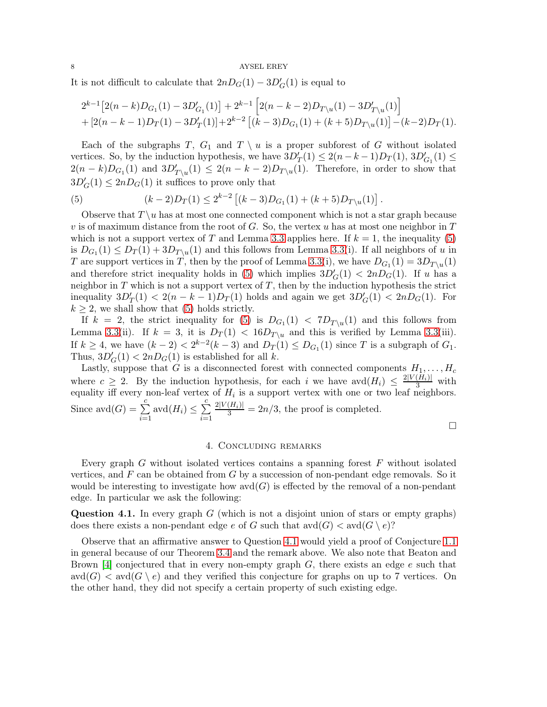It is not difficult to calculate that  $2nD<sub>G</sub>(1) - 3D'<sub>G</sub>(1)$  is equal to

$$
2^{k-1} [2(n-k)D_{G_1}(1) - 3D'_{G_1}(1)] + 2^{k-1} [2(n-k-2)D_{T\setminus u}(1) - 3D'_{T\setminus u}(1)] + [2(n-k-1)D_T(1) - 3D'_T(1)] + 2^{k-2} [(k-3)D_{G_1}(1) + (k+5)D_{T\setminus u}(1)] - (k-2)D_T(1).
$$

Each of the subgraphs T,  $G_1$  and  $T \setminus u$  is a proper subforest of G without isolated vertices. So, by the induction hypothesis, we have  $3D'_T(1) \leq 2(n-k-1)D_T(1)$ ,  $3D'_{G_1}(1) \leq$  $2(n-k)D_{G_1}(1)$  and  $3D'_{T\setminus u}(1) \leq 2(n-k-2)D_{T\setminus u}(1)$ . Therefore, in order to show that  $3D'_{G}(1) \leq 2nD_{G}(1)$  it suffices to prove only that

<span id="page-7-0"></span>(5) 
$$
(k-2)D_T(1) \le 2^{k-2} [(k-3)D_{G_1}(1) + (k+5)D_{T\setminus u}(1)].
$$

Observe that  $T \ u$  has at most one connected component which is not a star graph because v is of maximum distance from the root of  $G$ . So, the vertex u has at most one neighbor in  $T$ which is not a support vertex of T and Lemma [3.3](#page-5-1) applies here. If  $k = 1$ , the inequality [\(5\)](#page-7-0) is  $D_{G_1}(1) \leq D_T(1) + 3D_{T\setminus u}(1)$  and this follows from Lemma [3.3\(](#page-5-1)i). If all neighbors of u in T are support vertices in T, then by the proof of Lemma [3.3\(](#page-5-1)i), we have  $D_{G_1}(1) = 3D_{T\setminus u}(1)$ and therefore strict inequality holds in [\(5\)](#page-7-0) which implies  $3D'_{G}(1) < 2nD_{G}(1)$ . If u has a neighbor in  $T$  which is not a support vertex of  $T$ , then by the induction hypothesis the strict inequality  $3D'_T(1) < 2(n-k-1)D_T(1)$  holds and again we get  $3D'_G(1) < 2nD_G(1)$ . For  $k \geq 2$ , we shall show that [\(5\)](#page-7-0) holds strictly.

If  $k = 2$ , the strict inequality for [\(5\)](#page-7-0) is  $D_{G_1}(1) < 7D_{T\setminus u}(1)$  and this follows from Lemma [3.3\(](#page-5-1)ii). If  $k = 3$ , it is  $D_T(1) < 16D_{T\setminus u}$  and this is verified by Lemma 3.3(iii). If  $k \geq 4$ , we have  $(k-2) < 2^{k-2}(k-3)$  and  $D_T(1) \leq D_{G_1}(1)$  since T is a subgraph of  $G_1$ . Thus,  $3D'_{G}(1) < 2nD_{G}(1)$  is established for all k.

Lastly, suppose that G is a disconnected forest with connected components  $H_1, \ldots, H_c$ where  $c \geq 2$ . By the induction hypothesis, for each i we have  $\text{avd}(H_i) \leq \frac{2|V(H_i)|}{3}$  with equality iff every non-leaf vertex of  $H_i$  is a support vertex with one or two leaf neighbors. Since  $\text{avd}(G) = \sum_{n=1}^{c}$  $\frac{i=1}{i}$ avd $(H_i) \leq \sum^c$  $i=1$  $\frac{2|V(H_i)|}{3} = 2n/3$ , the proof is completed.

 $\Box$ 

#### 4. Concluding remarks

Every graph G without isolated vertices contains a spanning forest  $F$  without isolated vertices, and  $F$  can be obtained from  $G$  by a succession of non-pendant edge removals. So it would be interesting to investigate how  $\text{avd}(G)$  is effected by the removal of a non-pendant edge. In particular we ask the following:

<span id="page-7-1"></span>**Question 4.1.** In every graph  $G$  (which is not a disjoint union of stars or empty graphs) does there exists a non-pendant edge e of G such that  $\mathrm{avd}(G) < \mathrm{avd}(G \setminus e)$ ?

Observe that an affirmative answer to Question [4.1](#page-7-1) would yield a proof of Conjecture [1.1](#page-1-0) in general because of our Theorem [3.4](#page-6-0) and the remark above. We also note that Beaton and Brown [\[4\]](#page-8-0) conjectured that in every non-empty graph  $G$ , there exists an edge  $e$  such that  $\text{avd}(G) < \text{avd}(G \setminus e)$  and they verified this conjecture for graphs on up to 7 vertices. On the other hand, they did not specify a certain property of such existing edge.